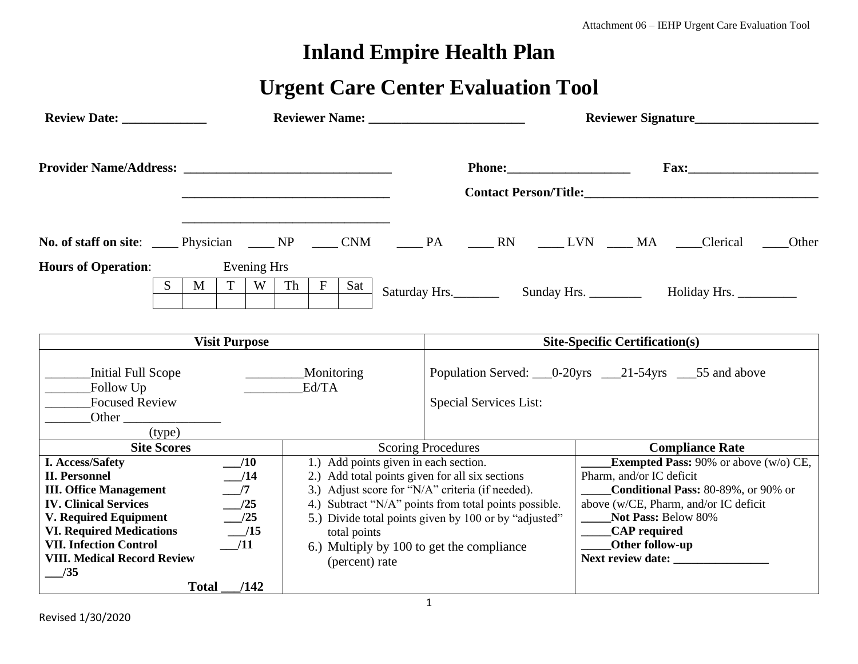#### **Inland Empire Health Plan**

#### **Urgent Care Center Evaluation Tool**

|                                                                                                                                                                                                                                                                        |                                                                                                                  |                                                                                                                                                                                                                                                                                      | Reviewer Signature        |                                                       |  |                                                                                     |                                                                                                                                |            |
|------------------------------------------------------------------------------------------------------------------------------------------------------------------------------------------------------------------------------------------------------------------------|------------------------------------------------------------------------------------------------------------------|--------------------------------------------------------------------------------------------------------------------------------------------------------------------------------------------------------------------------------------------------------------------------------------|---------------------------|-------------------------------------------------------|--|-------------------------------------------------------------------------------------|--------------------------------------------------------------------------------------------------------------------------------|------------|
|                                                                                                                                                                                                                                                                        |                                                                                                                  |                                                                                                                                                                                                                                                                                      |                           |                                                       |  |                                                                                     | $\mathbf{Fax:}\qquad \qquad$                                                                                                   |            |
| <b>Hours of Operation:</b>                                                                                                                                                                                                                                             | Evening Hrs                                                                                                      |                                                                                                                                                                                                                                                                                      |                           |                                                       |  |                                                                                     |                                                                                                                                | _____Other |
| S                                                                                                                                                                                                                                                                      | T<br>$W$ Th<br>M                                                                                                 | $\mathbf{F}$<br>Sat                                                                                                                                                                                                                                                                  |                           |                                                       |  |                                                                                     |                                                                                                                                |            |
|                                                                                                                                                                                                                                                                        | <b>Visit Purpose</b>                                                                                             |                                                                                                                                                                                                                                                                                      |                           |                                                       |  | <b>Site-Specific Certification(s)</b>                                               |                                                                                                                                |            |
| Initial Full Scope<br>Follow Up<br><b>Focused Review</b><br>Other<br>(type)                                                                                                                                                                                            |                                                                                                                  | Monitoring<br>Ed/TA                                                                                                                                                                                                                                                                  |                           | Special Services List:                                |  |                                                                                     | Population Served: 0-20yrs 21-54yrs 55 and above                                                                               |            |
| <b>Site Scores</b>                                                                                                                                                                                                                                                     |                                                                                                                  |                                                                                                                                                                                                                                                                                      | <b>Scoring Procedures</b> |                                                       |  |                                                                                     | <b>Compliance Rate</b>                                                                                                         |            |
| <b>I. Access/Safety</b><br><b>II. Personnel</b><br><b>III. Office Management</b><br><b>IV. Clinical Services</b><br>V. Required Equipment<br><b>VI. Required Medications</b><br><b>VII. Infection Control</b><br><b>VIII. Medical Record Review</b><br>$\frac{135}{2}$ | $\frac{-}{10}$<br>$\frac{-}{14}$<br>$\frac{1}{7}$<br>/25<br>$\frac{1}{25}$<br>$\frac{-}{15}$<br>$\frac{-111}{2}$ | 1.) Add points given in each section.<br>2.) Add total points given for all six sections<br>3.) Adjust score for "N/A" criteria (if needed).<br>4.) Subtract "N/A" points from total points possible.<br>total points<br>6.) Multiply by 100 to get the compliance<br>(percent) rate |                           | 5.) Divide total points given by 100 or by "adjusted" |  | Pharm, and/or IC deficit<br>Not Pass: Below 80%<br>_CAP required<br>Other follow-up | <b>Exempted Pass:</b> 90% or above $(w/o)$ CE,<br>Conditional Pass: 80-89%, or 90% or<br>above (w/CE, Pharm, and/or IC deficit |            |
|                                                                                                                                                                                                                                                                        | <b>Total</b><br>/142                                                                                             |                                                                                                                                                                                                                                                                                      |                           |                                                       |  |                                                                                     |                                                                                                                                |            |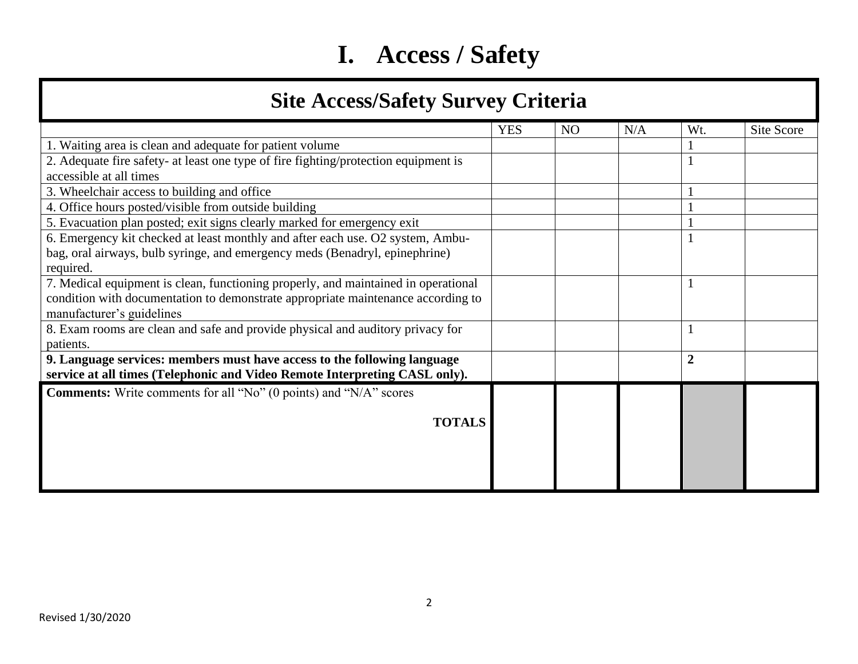# **I. Access / Safety**

| <b>Site Access/Safety Survey Criteria</b>                                           |            |    |     |                |            |
|-------------------------------------------------------------------------------------|------------|----|-----|----------------|------------|
|                                                                                     | <b>YES</b> | NO | N/A | Wt.            | Site Score |
| 1. Waiting area is clean and adequate for patient volume                            |            |    |     |                |            |
| 2. Adequate fire safety- at least one type of fire fighting/protection equipment is |            |    |     | 1              |            |
| accessible at all times                                                             |            |    |     |                |            |
| 3. Wheelchair access to building and office                                         |            |    |     |                |            |
| 4. Office hours posted/visible from outside building                                |            |    |     |                |            |
| 5. Evacuation plan posted; exit signs clearly marked for emergency exit             |            |    |     |                |            |
| 6. Emergency kit checked at least monthly and after each use. O2 system, Ambu-      |            |    |     |                |            |
| bag, oral airways, bulb syringe, and emergency meds (Benadryl, epinephrine)         |            |    |     |                |            |
| required.                                                                           |            |    |     |                |            |
| 7. Medical equipment is clean, functioning properly, and maintained in operational  |            |    |     | 1              |            |
| condition with documentation to demonstrate appropriate maintenance according to    |            |    |     |                |            |
| manufacturer's guidelines                                                           |            |    |     |                |            |
| 8. Exam rooms are clean and safe and provide physical and auditory privacy for      |            |    |     | $\mathbf 1$    |            |
| patients.                                                                           |            |    |     |                |            |
| 9. Language services: members must have access to the following language            |            |    |     | $\overline{2}$ |            |
| service at all times (Telephonic and Video Remote Interpreting CASL only).          |            |    |     |                |            |
| <b>Comments:</b> Write comments for all "No" (0 points) and "N/A" scores            |            |    |     |                |            |
|                                                                                     |            |    |     |                |            |
| <b>TOTALS</b>                                                                       |            |    |     |                |            |
|                                                                                     |            |    |     |                |            |
|                                                                                     |            |    |     |                |            |
|                                                                                     |            |    |     |                |            |
|                                                                                     |            |    |     |                |            |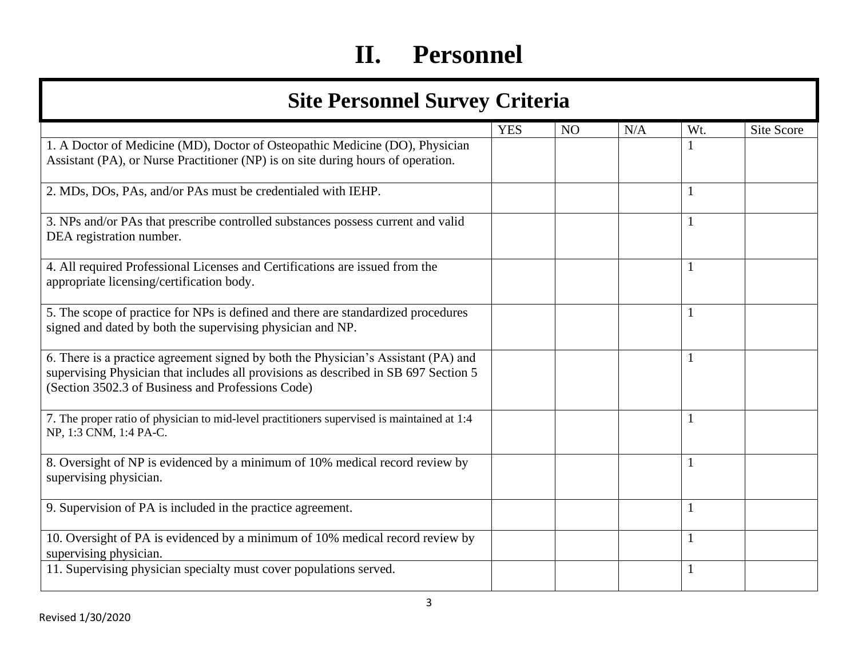# **II. Personnel**

| <b>Site Personnel Survey Criteria</b>                                                                                                                                                                                          |            |                |     |              |            |
|--------------------------------------------------------------------------------------------------------------------------------------------------------------------------------------------------------------------------------|------------|----------------|-----|--------------|------------|
|                                                                                                                                                                                                                                | <b>YES</b> | N <sub>O</sub> | N/A | Wt.          | Site Score |
| 1. A Doctor of Medicine (MD), Doctor of Osteopathic Medicine (DO), Physician<br>Assistant (PA), or Nurse Practitioner (NP) is on site during hours of operation.                                                               |            |                |     |              |            |
|                                                                                                                                                                                                                                |            |                |     |              |            |
| 2. MDs, DOs, PAs, and/or PAs must be credentialed with IEHP.                                                                                                                                                                   |            |                |     | 1            |            |
| 3. NPs and/or PAs that prescribe controlled substances possess current and valid<br>DEA registration number.                                                                                                                   |            |                |     | 1            |            |
| 4. All required Professional Licenses and Certifications are issued from the<br>appropriate licensing/certification body.                                                                                                      |            |                |     | $\mathbf{1}$ |            |
| 5. The scope of practice for NPs is defined and there are standardized procedures<br>signed and dated by both the supervising physician and NP.                                                                                |            |                |     | 1            |            |
| 6. There is a practice agreement signed by both the Physician's Assistant (PA) and<br>supervising Physician that includes all provisions as described in SB 697 Section 5<br>(Section 3502.3 of Business and Professions Code) |            |                |     |              |            |
| 7. The proper ratio of physician to mid-level practitioners supervised is maintained at 1:4<br>NP, 1:3 CNM, 1:4 PA-C.                                                                                                          |            |                |     | 1            |            |
| 8. Oversight of NP is evidenced by a minimum of 10% medical record review by<br>supervising physician.                                                                                                                         |            |                |     | 1            |            |
| 9. Supervision of PA is included in the practice agreement.                                                                                                                                                                    |            |                |     | 1            |            |
| 10. Oversight of PA is evidenced by a minimum of 10% medical record review by<br>supervising physician.                                                                                                                        |            |                |     | $\mathbf{1}$ |            |
| 11. Supervising physician specialty must cover populations served.                                                                                                                                                             |            |                |     | 1            |            |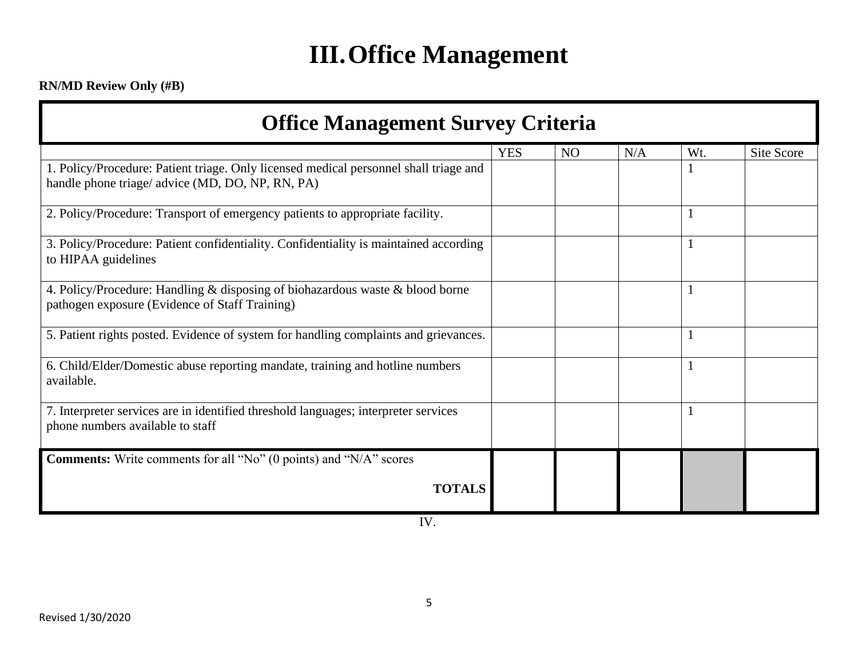# **III.Office Management**

**RN/MD Review Only (#B)**

| <b>Office Management Survey Criteria</b>                                                                                                  |            |    |     |              |            |  |  |
|-------------------------------------------------------------------------------------------------------------------------------------------|------------|----|-----|--------------|------------|--|--|
|                                                                                                                                           | <b>YES</b> | NO | N/A | Wt.          | Site Score |  |  |
| 1. Policy/Procedure: Patient triage. Only licensed medical personnel shall triage and<br>handle phone triage/ advice (MD, DO, NP, RN, PA) |            |    |     |              |            |  |  |
| 2. Policy/Procedure: Transport of emergency patients to appropriate facility.                                                             |            |    |     | -1           |            |  |  |
| 3. Policy/Procedure: Patient confidentiality. Confidentiality is maintained according<br>to HIPAA guidelines                              |            |    |     | -1           |            |  |  |
| 4. Policy/Procedure: Handling & disposing of biohazardous waste & blood borne<br>pathogen exposure (Evidence of Staff Training)           |            |    |     | 1            |            |  |  |
| 5. Patient rights posted. Evidence of system for handling complaints and grievances.                                                      |            |    |     | $\mathbf{1}$ |            |  |  |
| 6. Child/Elder/Domestic abuse reporting mandate, training and hotline numbers<br>available.                                               |            |    |     | $\mathbf{1}$ |            |  |  |
| 7. Interpreter services are in identified threshold languages; interpreter services<br>phone numbers available to staff                   |            |    |     | -1           |            |  |  |
| <b>Comments:</b> Write comments for all "No" (0 points) and "N/A" scores                                                                  |            |    |     |              |            |  |  |
| <b>TOTALS</b>                                                                                                                             |            |    |     |              |            |  |  |

IV.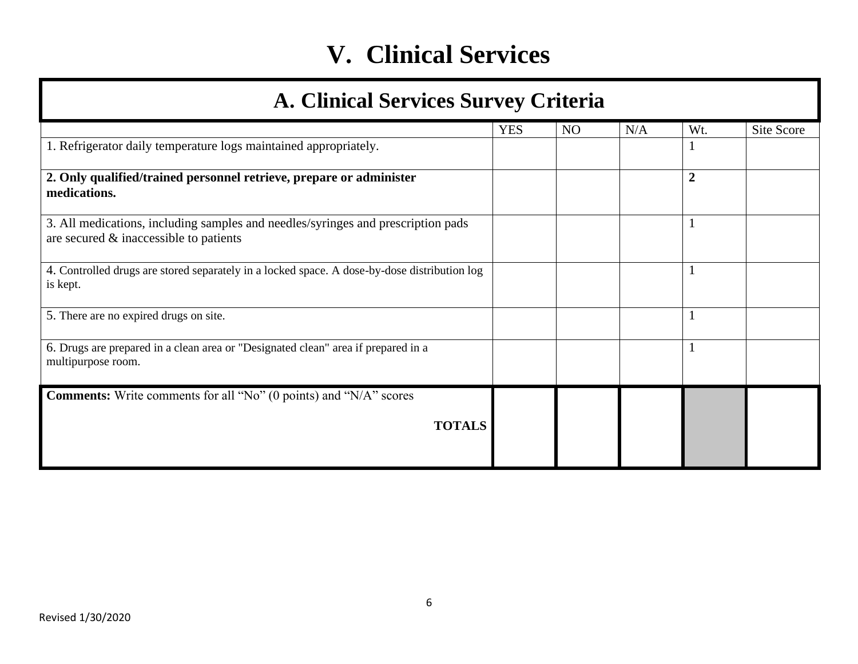# **V. Clinical Services**

|  |  | <b>A. Clinical Services Survey Criteria</b> |  |  |
|--|--|---------------------------------------------|--|--|
|--|--|---------------------------------------------|--|--|

|                                                                                                                            | <b>YES</b> | NO | N/A | Wt.            | Site Score |
|----------------------------------------------------------------------------------------------------------------------------|------------|----|-----|----------------|------------|
| 1. Refrigerator daily temperature logs maintained appropriately.                                                           |            |    |     |                |            |
| 2. Only qualified/trained personnel retrieve, prepare or administer<br>medications.                                        |            |    |     | $\overline{2}$ |            |
| 3. All medications, including samples and needles/syringes and prescription pads<br>are secured & inaccessible to patients |            |    |     |                |            |
| 4. Controlled drugs are stored separately in a locked space. A dose-by-dose distribution log<br>is kept.                   |            |    |     |                |            |
| 5. There are no expired drugs on site.                                                                                     |            |    |     |                |            |
| 6. Drugs are prepared in a clean area or "Designated clean" area if prepared in a<br>multipurpose room.                    |            |    |     | $\mathbf{I}$   |            |
| <b>Comments:</b> Write comments for all "No" (0 points) and "N/A" scores<br><b>TOTALS</b>                                  |            |    |     |                |            |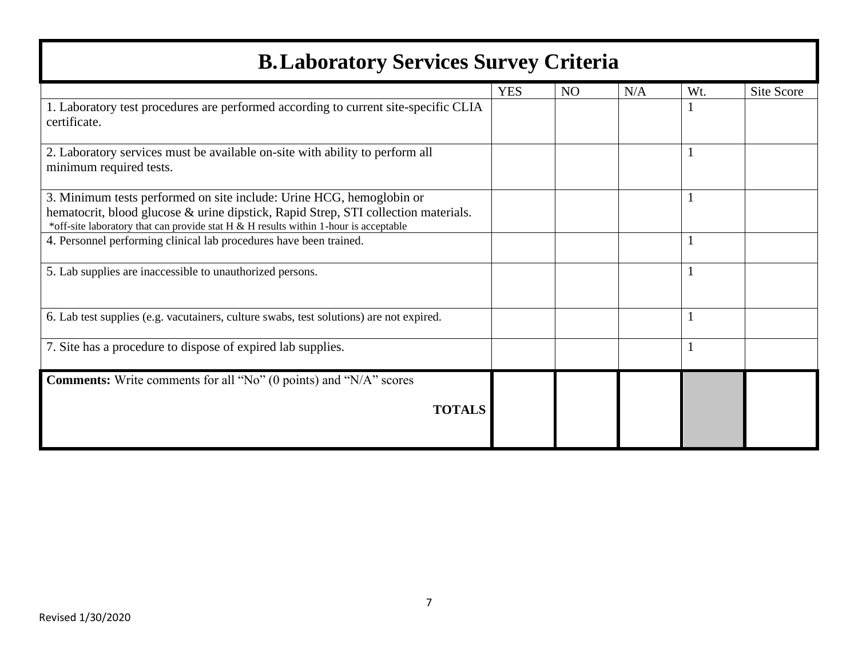#### **B.Laboratory Services Survey Criteria**

|                                                                                                                                                            | <b>YES</b> | NO <sub>1</sub> | N/A | Wt. | Site Score |
|------------------------------------------------------------------------------------------------------------------------------------------------------------|------------|-----------------|-----|-----|------------|
| 1. Laboratory test procedures are performed according to current site-specific CLIA                                                                        |            |                 |     |     |            |
| certificate.                                                                                                                                               |            |                 |     |     |            |
|                                                                                                                                                            |            |                 |     |     |            |
| 2. Laboratory services must be available on-site with ability to perform all                                                                               |            |                 |     |     |            |
| minimum required tests.                                                                                                                                    |            |                 |     |     |            |
|                                                                                                                                                            |            |                 |     |     |            |
| 3. Minimum tests performed on site include: Urine HCG, hemoglobin or                                                                                       |            |                 |     |     |            |
| hematocrit, blood glucose & urine dipstick, Rapid Strep, STI collection materials.                                                                         |            |                 |     |     |            |
| *off-site laboratory that can provide stat H & H results within 1-hour is acceptable<br>4. Personnel performing clinical lab procedures have been trained. |            |                 |     |     |            |
|                                                                                                                                                            |            |                 |     |     |            |
| 5. Lab supplies are inaccessible to unauthorized persons.                                                                                                  |            |                 |     |     |            |
|                                                                                                                                                            |            |                 |     |     |            |
|                                                                                                                                                            |            |                 |     |     |            |
| 6. Lab test supplies (e.g. vacutainers, culture swabs, test solutions) are not expired.                                                                    |            |                 |     |     |            |
|                                                                                                                                                            |            |                 |     |     |            |
| 7. Site has a procedure to dispose of expired lab supplies.                                                                                                |            |                 |     |     |            |
|                                                                                                                                                            |            |                 |     |     |            |
| <b>Comments:</b> Write comments for all "No" (0 points) and "N/A" scores                                                                                   |            |                 |     |     |            |
|                                                                                                                                                            |            |                 |     |     |            |
| <b>TOTALS</b>                                                                                                                                              |            |                 |     |     |            |
|                                                                                                                                                            |            |                 |     |     |            |
|                                                                                                                                                            |            |                 |     |     |            |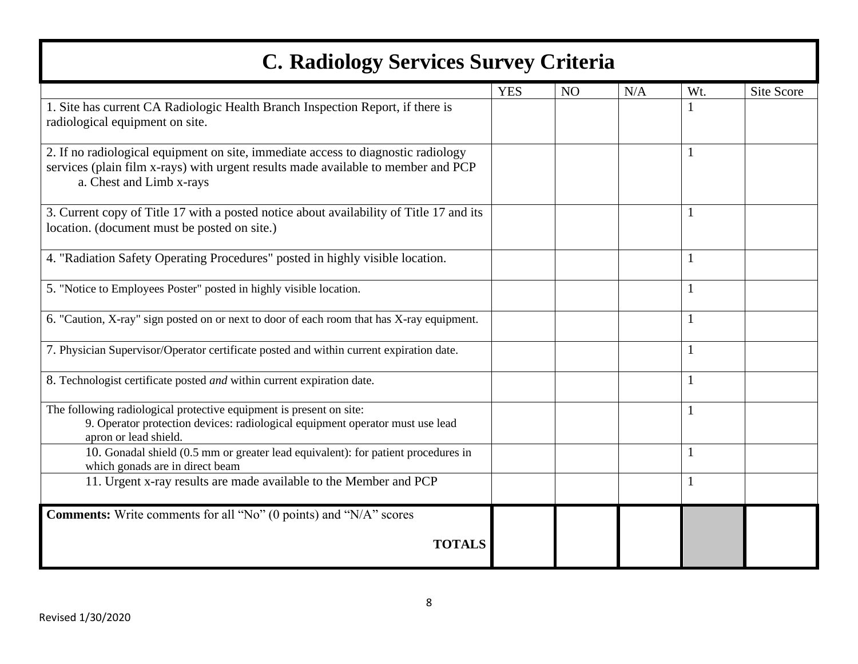### **C. Radiology Services Survey Criteria**

| ~                                                                                         |            |                |     |              |            |
|-------------------------------------------------------------------------------------------|------------|----------------|-----|--------------|------------|
|                                                                                           | <b>YES</b> | N <sub>O</sub> | N/A | Wt.          | Site Score |
| 1. Site has current CA Radiologic Health Branch Inspection Report, if there is            |            |                |     |              |            |
| radiological equipment on site.                                                           |            |                |     |              |            |
|                                                                                           |            |                |     |              |            |
| 2. If no radiological equipment on site, immediate access to diagnostic radiology         |            |                |     |              |            |
| services (plain film x-rays) with urgent results made available to member and PCP         |            |                |     |              |            |
| a. Chest and Limb x-rays                                                                  |            |                |     |              |            |
|                                                                                           |            |                |     |              |            |
| 3. Current copy of Title 17 with a posted notice about availability of Title 17 and its   |            |                |     |              |            |
| location. (document must be posted on site.)                                              |            |                |     |              |            |
| 4. "Radiation Safety Operating Procedures" posted in highly visible location.             |            |                |     |              |            |
|                                                                                           |            |                |     |              |            |
| 5. "Notice to Employees Poster" posted in highly visible location.                        |            |                |     |              |            |
|                                                                                           |            |                |     |              |            |
| 6. "Caution, X-ray" sign posted on or next to door of each room that has X-ray equipment. |            |                |     | $\mathbf{1}$ |            |
|                                                                                           |            |                |     |              |            |
| 7. Physician Supervisor/Operator certificate posted and within current expiration date.   |            |                |     | $\mathbf{1}$ |            |
|                                                                                           |            |                |     |              |            |
| 8. Technologist certificate posted <i>and</i> within current expiration date.             |            |                |     |              |            |
| The following radiological protective equipment is present on site:                       |            |                |     |              |            |
| 9. Operator protection devices: radiological equipment operator must use lead             |            |                |     |              |            |
| apron or lead shield.                                                                     |            |                |     |              |            |
| 10. Gonadal shield (0.5 mm or greater lead equivalent): for patient procedures in         |            |                |     | $\mathbf{1}$ |            |
| which gonads are in direct beam                                                           |            |                |     |              |            |
| 11. Urgent x-ray results are made available to the Member and PCP                         |            |                |     | $\mathbf{1}$ |            |
|                                                                                           |            |                |     |              |            |
| <b>Comments:</b> Write comments for all "No" (0 points) and "N/A" scores                  |            |                |     |              |            |
|                                                                                           |            |                |     |              |            |
| <b>TOTALS</b>                                                                             |            |                |     |              |            |
|                                                                                           |            |                |     |              |            |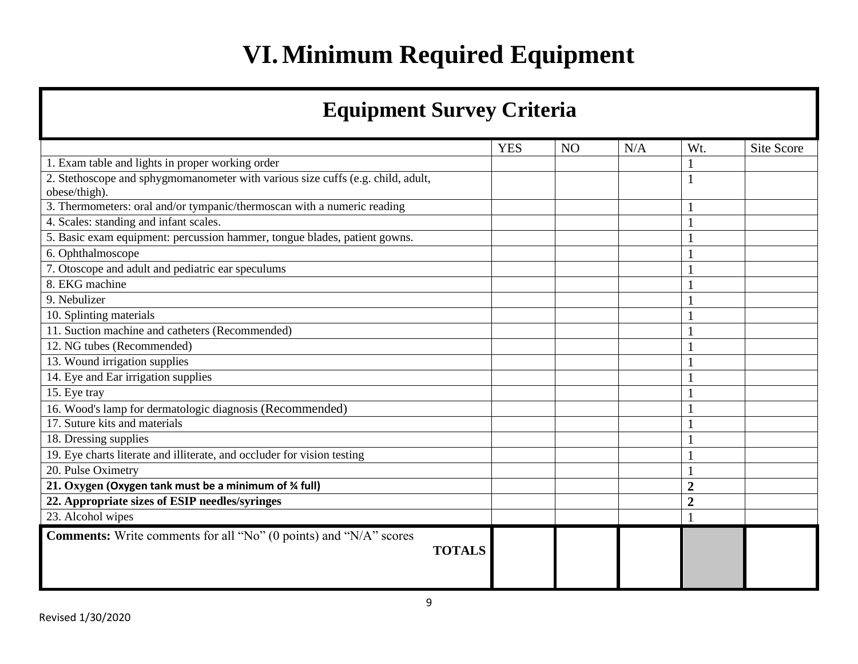# **VI.Minimum Required Equipment**

### **Equipment Survey Criteria**

|                                                                                           | <b>YES</b> | N <sub>O</sub> | N/A | Wt.            | Site Score |
|-------------------------------------------------------------------------------------------|------------|----------------|-----|----------------|------------|
| 1. Exam table and lights in proper working order                                          |            |                |     |                |            |
| 2. Stethoscope and sphygmomanometer with various size cuffs (e.g. child, adult,           |            |                |     |                |            |
| obese/thigh).                                                                             |            |                |     |                |            |
| 3. Thermometers: oral and/or tympanic/thermoscan with a numeric reading                   |            |                |     |                |            |
| 4. Scales: standing and infant scales.                                                    |            |                |     |                |            |
| 5. Basic exam equipment: percussion hammer, tongue blades, patient gowns.                 |            |                |     |                |            |
| 6. Ophthalmoscope                                                                         |            |                |     |                |            |
| 7. Otoscope and adult and pediatric ear speculums                                         |            |                |     |                |            |
| 8. EKG machine                                                                            |            |                |     |                |            |
| 9. Nebulizer                                                                              |            |                |     |                |            |
| 10. Splinting materials                                                                   |            |                |     |                |            |
| 11. Suction machine and catheters (Recommended)                                           |            |                |     |                |            |
| 12. NG tubes (Recommended)                                                                |            |                |     |                |            |
| 13. Wound irrigation supplies                                                             |            |                |     |                |            |
| 14. Eye and Ear irrigation supplies                                                       |            |                |     |                |            |
| 15. Eye tray                                                                              |            |                |     |                |            |
| 16. Wood's lamp for dermatologic diagnosis (Recommended)                                  |            |                |     |                |            |
| 17. Suture kits and materials                                                             |            |                |     |                |            |
| 18. Dressing supplies                                                                     |            |                |     |                |            |
| 19. Eye charts literate and illiterate, and occluder for vision testing                   |            |                |     |                |            |
| 20. Pulse Oximetry                                                                        |            |                |     |                |            |
| 21. Oxygen (Oxygen tank must be a minimum of % full)                                      |            |                |     | $\overline{2}$ |            |
| 22. Appropriate sizes of ESIP needles/syringes                                            |            |                |     | $\overline{2}$ |            |
| 23. Alcohol wipes                                                                         |            |                |     |                |            |
| <b>Comments:</b> Write comments for all "No" (0 points) and "N/A" scores<br><b>TOTALS</b> |            |                |     |                |            |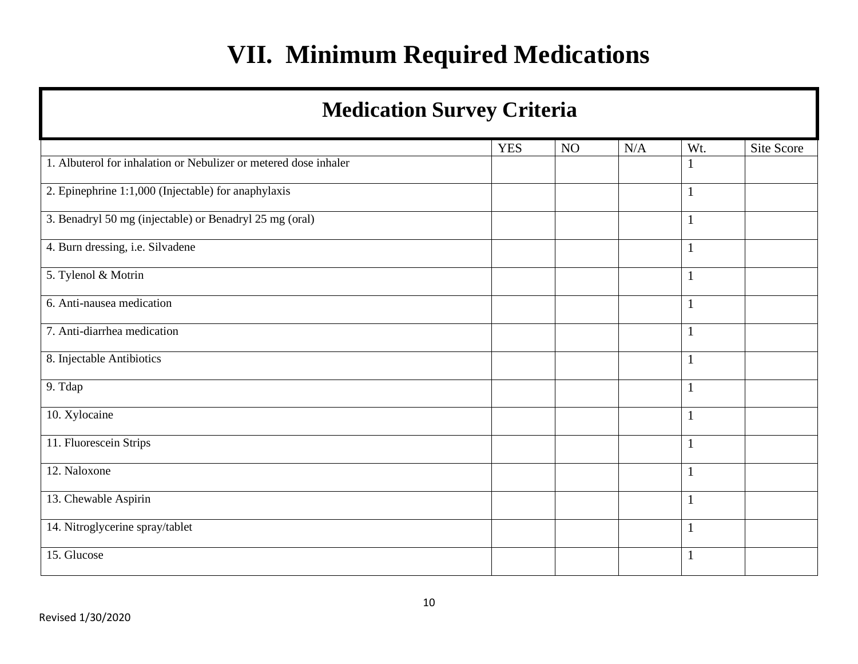## **VII. Minimum Required Medications**

| <b>Medication Survey Criteria</b>                                |            |    |     |              |            |
|------------------------------------------------------------------|------------|----|-----|--------------|------------|
|                                                                  | <b>YES</b> | NO | N/A | Wt.          | Site Score |
| 1. Albuterol for inhalation or Nebulizer or metered dose inhaler |            |    |     |              |            |
| 2. Epinephrine 1:1,000 (Injectable) for anaphylaxis              |            |    |     | $\mathbf{1}$ |            |
| 3. Benadryl 50 mg (injectable) or Benadryl 25 mg (oral)          |            |    |     | $\mathbf{1}$ |            |
| 4. Burn dressing, i.e. Silvadene                                 |            |    |     | $\mathbf{1}$ |            |
| 5. Tylenol & Motrin                                              |            |    |     | $\mathbf{1}$ |            |
| 6. Anti-nausea medication                                        |            |    |     | $\mathbf{1}$ |            |
| 7. Anti-diarrhea medication                                      |            |    |     | $\mathbf{1}$ |            |
| 8. Injectable Antibiotics                                        |            |    |     | $\mathbf{1}$ |            |
| 9. Tdap                                                          |            |    |     | $\mathbf{1}$ |            |
| 10. Xylocaine                                                    |            |    |     | $\mathbf{1}$ |            |
| 11. Fluorescein Strips                                           |            |    |     | $\mathbf{1}$ |            |
| 12. Naloxone                                                     |            |    |     | $\mathbf{1}$ |            |
| 13. Chewable Aspirin                                             |            |    |     | $\mathbf{1}$ |            |
| 14. Nitroglycerine spray/tablet                                  |            |    |     | $\mathbf{1}$ |            |
| 15. Glucose                                                      |            |    |     | $\mathbf{1}$ |            |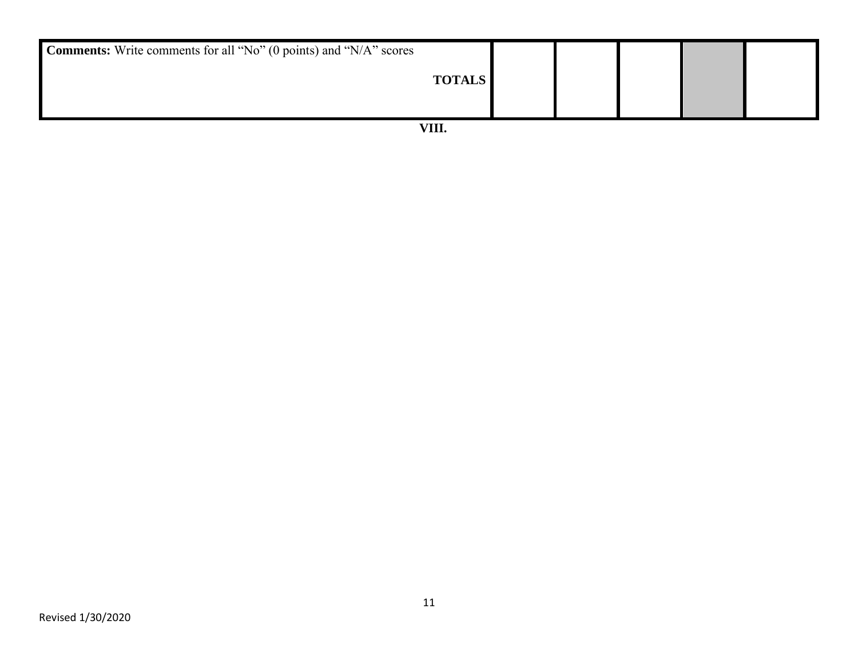| <b>Comments:</b> Write comments for all "No" (0 points) and "N/A" scores | <b>TOTALS</b> |  |  |  |
|--------------------------------------------------------------------------|---------------|--|--|--|
|                                                                          | ______        |  |  |  |

**VIII.**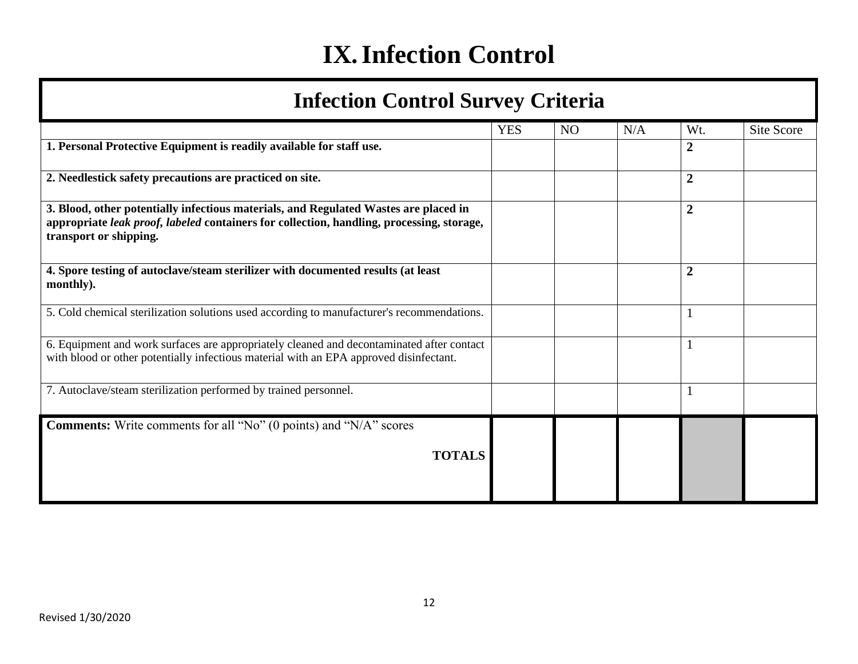### **IX.Infection Control**

| <b>Infection Control Survey Criteria</b>                                                                                                                                                                    |            |    |     |                  |            |
|-------------------------------------------------------------------------------------------------------------------------------------------------------------------------------------------------------------|------------|----|-----|------------------|------------|
|                                                                                                                                                                                                             | <b>YES</b> | NO | N/A | Wt.              | Site Score |
| 1. Personal Protective Equipment is readily available for staff use.                                                                                                                                        |            |    |     | $\overline{2}$   |            |
| 2. Needlestick safety precautions are practiced on site.                                                                                                                                                    |            |    |     | $\boldsymbol{2}$ |            |
| 3. Blood, other potentially infectious materials, and Regulated Wastes are placed in<br>appropriate leak proof, labeled containers for collection, handling, processing, storage,<br>transport or shipping. |            |    |     | $\overline{2}$   |            |
| 4. Spore testing of autoclave/steam sterilizer with documented results (at least<br>monthly).                                                                                                               |            |    |     | $\overline{2}$   |            |
| 5. Cold chemical sterilization solutions used according to manufacturer's recommendations.                                                                                                                  |            |    |     | -1               |            |
| 6. Equipment and work surfaces are appropriately cleaned and decontaminated after contact<br>with blood or other potentially infectious material with an EPA approved disinfectant.                         |            |    |     | $\mathbf{1}$     |            |
| 7. Autoclave/steam sterilization performed by trained personnel.                                                                                                                                            |            |    |     |                  |            |
| <b>Comments:</b> Write comments for all "No" (0 points) and "N/A" scores<br><b>TOTALS</b>                                                                                                                   |            |    |     |                  |            |
|                                                                                                                                                                                                             |            |    |     |                  |            |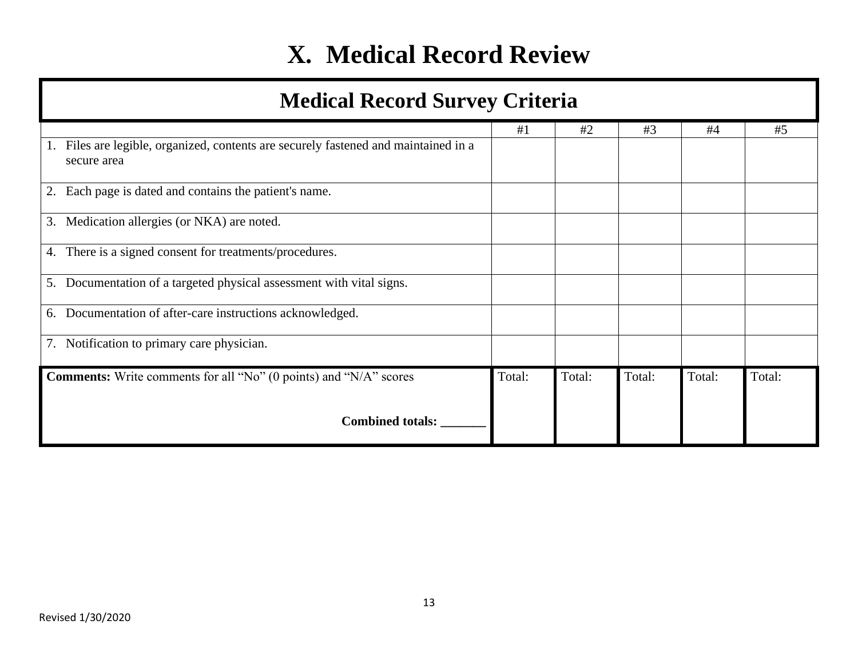### **X. Medical Record Review**

| <b>Medical Record Survey Criteria</b>                                                           |        |        |        |        |        |  |  |  |
|-------------------------------------------------------------------------------------------------|--------|--------|--------|--------|--------|--|--|--|
|                                                                                                 | #1     | #2     | #3     | #4     | #5     |  |  |  |
| Files are legible, organized, contents are securely fastened and maintained in a<br>secure area |        |        |        |        |        |  |  |  |
| Each page is dated and contains the patient's name.<br>2.                                       |        |        |        |        |        |  |  |  |
| 3. Medication allergies (or NKA) are noted.                                                     |        |        |        |        |        |  |  |  |
| 4. There is a signed consent for treatments/procedures.                                         |        |        |        |        |        |  |  |  |
| 5. Documentation of a targeted physical assessment with vital signs.                            |        |        |        |        |        |  |  |  |
| 6. Documentation of after-care instructions acknowledged.                                       |        |        |        |        |        |  |  |  |
| 7. Notification to primary care physician.                                                      |        |        |        |        |        |  |  |  |
| <b>Comments:</b> Write comments for all "No" (0 points) and "N/A" scores                        | Total: | Total: | Total: | Total: | Total: |  |  |  |
| <b>Combined totals:</b>                                                                         |        |        |        |        |        |  |  |  |